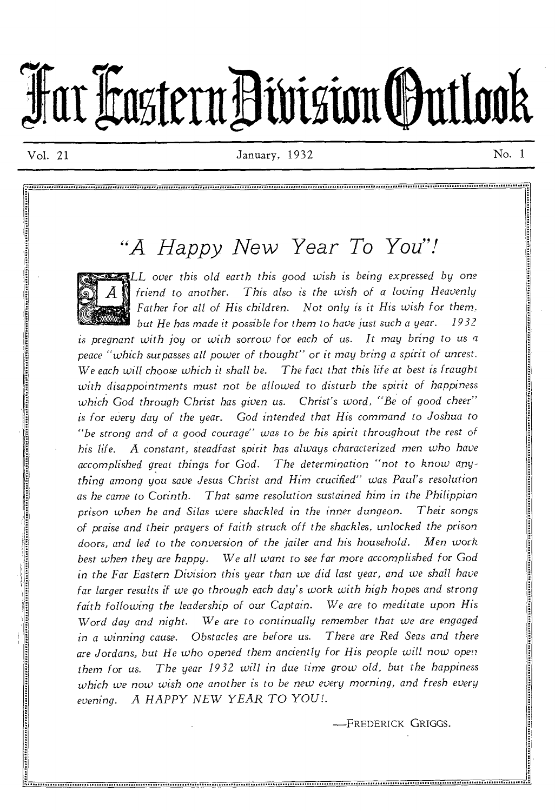# Far Traztern Division (Putlook

Vol. 21 January, 1932 No. 1

# *"A Happy New Year To You"!*

*LL over this old earth this good wish is being expressed* by one

*friend to another. This also is the wish of a loving Heavenly Father* for *all* of *His children. Not only is it His wish for them. but He has made it possible for them to have just such a year. 1932 is pregnant with joy* or *with sorrow for each of us. It may bring to us a peace "which surpasses all power of thought" or it may bring a spirit of unrest. We each will choose which it shall be. The fact that this life at best is fraught with disappointments must not be allowed to disturb the spirit* of *happiness which God through Christ has given us. Christ's word, "Be of good cheer" is for every day of the year.* God *intended that His command to Joshua to "be strong and of a good courage" was to be his spirit throughout the rest of his life. A constant, steadfast spirit has always characterized men who have accomplished great things for God. The determination "not to know anything among you save Jesus Christ and Him crucified" was Paul's resolution as he came to Corinth. That same resolution sustained him in the Philippian prison when he and Silas were shackled in the inner dungeon. Their songs of praise and their prayers of faith struck off the shackles, unlocked the prison doors, and led to the conversion of the jailer and his household. Men work*  best when they are happy. We all want to see far more accomplished for God *in the Far Eastern Division this year than we did last year, and we shall have far larger results if we go through each day's work with high hopes and strong faith following the leadership of our Captain. We are to meditate upon His Word day and night. We are to continually remember that we are engaged in a winning cause. Obstacles are before us. There are Red Seas and there are Jordans, but He who opened them anciently* for *His people will now ope!n them for us. The year 1932 will in due time grow old, but the happiness*  which we now wish one another is to be new every morning, and fresh every *evening. A HAPPY NEW YEAR TO YOU!.* 

-FREDERICK GRIGGS.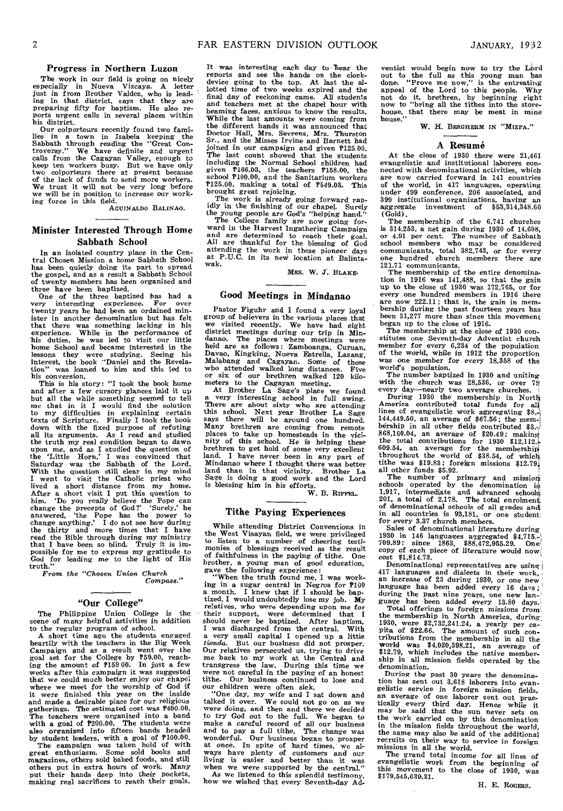The work in our field is going on nicely especially in Nueva Vizcaya. A letter<br>just in from Brother Valdez, who is lead-<br>ing in that district, says that they are preparing fifty for baptism. He also re-ports urgent calls in several places within his district.

Our colporteurs recently found two families in a town in Isabela keeping the Sabbath through reading the "Great Con-troversy." We have definite and urgent calls from the Cagayan Valley, enough *to*  keep ten workers busy. But we have only two colporteurs there at present because of the lack of funds to send more workers. We trust it will not be very long before we will be in position to increase our work-ing force in this field.

AGUiNALDO BAI.INAO.

## **Minister Interested Through Home Sabbath School**

In an isolated country place in the Central Chosen Mission a home Sabbath School has been quietly doing its part to spread the gospel, and as a result a Sabbath School of twenty members has been organized and

three have been baptized. One of the three baptized has had a very interesting experience. For over twenty years he had been an ordained minister in another denomination but has felt that there was something lacking in his experience. While in the performance of his duties, he was led to visit our little home School and became interested in the lessons they were studying. Seeing his interest, the book "Daniel and the Revelation" was loaned to him and this led to his conversion.

This is his story: "I took the book home and after a few cursory glances laid it up but all the while something seemed to tell me that in it I would find the solution to my difficulties in explaining certain texts of Scripture. Finally I took the book down with the fixed purpose of refuting<br>all its arguments. As I read and studied<br>the truth my real condition began to dawn<br>upon me, and as I studied the question of<br>the 'Little Horn,' I was convinced that<br>Saturday was the went to visit the Catholic priest who Ived a short distance from my home.<br>
Hydra short distance from my home.<br>
After a short visit I put his question to<br>
him. 'Do you really believe the Pope can<br>
change the precepts of God?' 'Surely,' he<br>
answered, 'the Pope h possible for me to express my gratitude to God for leading me to the light of His truth."

From the *"Chosen Union Church Compass."* 

### **"Our College"**

The Philippine Union College *is* the scene of many helpful activities in addition

to the regular program of school. A short time ago the students engaged heartily with the teachers in the Big Week Campaign and as a result *went* over the goal set for the College by P59.00, reach-ing the amount of P159 00. In just a few weeks after this campaign it was suggested that we could much better enjoy our chapel<br>where we meet for the worship of God if<br>it were finished this year on the inside<br>and made a desirable place for our religious<br>gatherings. The estimated cost was 7400.00.<br>The teach

The campaign was taken hold of with great enthusiasm. Some sold books and magazines, others sold baked foods, and still others put in extra hours of work. Many put their hands deep into their pockets, making real sacrifices to reach their goals.

It was interesting each day to 'hear the reports and see the hands on the clock-device going to the top. At last the al-lotted time of two weeks expired and the final day of reckoning came. All students and teachers met at the chapel hour with beaming faces, anxious to know the results. While the last amounts were coming from the different bands it was announced that Doctor Hall, Mrs. S'evrens, Mrs. Thurston Sr., and the Misses Irvine and Barnett had ioined in our campaign and given P125.00.<br>The last count showed that the students<br>including the Normal School children had<br>given P166.03, the teachers P158.00, the<br>school P100.00, and the Sanitarium workers P125.00, making a total of P549.03. This brought great rejoicing.

The work is already going forward rapidly in the finishing of our chapel. Surely the young people are God's "helping hand." The College family are now going forward in the Harvest Ingathering Campaign and are determined to attending the work in these pioneer days at P.U.C. in its new location at Balintawak.

MRS. W. *J.* BLAKE.

## **Good Meetings in Mindanao**

Pastor Figuhr and I found a very loyal group of believers in the various places that we visited reently. We have had eight district meetings during our trip in Mindana. The places where meetings were had held are as follow

or six of our brethren walked 120 kilo-meters to the Cagayan meeting. At Brother La Sage's place we found a very interesting school in full swing. There are about sixty who are attending<br>this school. Next year Brother La Sage<br>says there will be around one hundred.<br>Many brethren are coming from remote<br>places to take up homesteads in the vici-<br>nity of this school. He i land. I have never been in any part of Mindanao where I thought there was better land than in that vicinity. Brother La Sage is doing a good work and the Lord is blessing him in his efforts. W. B. RIFEEL.

## **Tithe Paying Experiences**

While attending District Conventions in<br>the West Visayan field, we were privileged<br>to listen to a number of cheering testi-<br>monies of blessings received as the result<br>of faithfulness in the paying of tithe. One

brother, a young man of good education, gave the following experience:<br>
"When the truth found me, I was work-<br>
ing in a sugar central in Negros for P100<br>
a month. I knew that if I should be baptized, I would undoubtedly lose my job. My relatives, who were depending upon me for<br>their support, were determined that I<br>should never be baptized. After baptism,<br>I was discharged from the central. With<br>a very small capital I opened up a little<br>tienda. But our bus Our relatives persecuted us, trying to drive me back to my work at the Central and transgress the law. During this time we were not careful in the paying of an honest

tithe. Our business continued to lose and<br>our children were often sick.<br>"One day, my wife and I sat down and<br>taked it over. We could not go on as we<br>were doing, and then and there we decided<br>to try God out to the full. We at once. In spite of hard times, we al-<br>ways have plenty of customers and our<br>living is easier and better than it was<br>when we were supported by the central."<br>As we listend to this splendid testimony,<br>how we wished that eve

ventist would begin now to try the Lord out to the full as this young man has done. "Prove me now," is the entreating appeal of the Lord to this people. Why not do it, brethren, by beginning right now to "bring all the tithes into the store-<br>house, that there may be meat in mine<br>house,"

W. H. BERGHERM IN "MIZPA."

#### **A Resume**

At the close of 1930 there were 21,461 evangelistic and institutional laborers connected with denominational activities, which are now carried forward in 141 countries of the world, in 417 languages, operating under 499 conference, 206 associated, and 399 institutional organizations, having an aggregate investment of \$53,314,348.60 (Gold).

The membership of the 6,741 churches<br>is 314,253, a net gain during 1930 of 14,698,<br>or 4.91 per cent. The number of Sabbath<br>school members who may be considered<br>communicants, total 382,743, or for every<br>one hundred church 121.71 communicants.

The membership of the entire denomina-tion in 1916 was 141,488, so that the gain up to the close of 1930 was 172,765, or for every one hundred members in 1916 there are now 222.11; that is, the gain in mem-bership during the past fourteen years has been 31,277 more than since this movement

began up to the close of 1916. The membership at the close of 1930 constitutes one Seventh-day Adventist church member for every 6,234 of the population of the world, while in 1912 the proportion was one member for every 18,358 of the world's population.

The number baptized in 1930 and uniting with the church was 28,536, or over 78 every day—nearly two average churches. I

During 1930 the membership in North America contributed total funds for all lines of evangelistic work aggregating \$8,-<br>lines of evangelistic work aggregating \$8,-<br>144,449.50, an average of \$67.56; the membership in all other fields contributed \$3,.<br>868,160.04, an average of \$20.49; making the total contributions for 1930 \$12,112, 609.54, an average for the membership<br>throughout the world of \$38.54, of which<br>tithe was \$19.83; foreign missions \$12.794 all other funds \$5.92.

The number of primary and missiont schools operated by the denomination is 1,917, intermediate and advanced schools 201, a total of 2,178. The total enrolment of denominational schools of all grades and in all countries is 93,181, or one student

for every 3.37 church members. Sales of denominational literature during 1930 in 146 languages aggregated \$4,715,-<br>709.89; since 1863, \$88,472,955.29. One<br>copy of each piece of literature would now<br>cost \$1,814.73.

Denominational representatives are using<br>
417 languages and dialects in their work,<br>
an increase of 23 during 1930, or one new<br>
language has been added every 16 days;<br>
language has been added every 13.80 days.<br>
during the ship in all mission fields operated by the<br>denomination.

During the past 30 years the denomination has sent out 3,618 laborers into evangelistic service in foreign mission fields, an average of one laborer sent out prac-tically every third day. Hence while it may be said that the sun never sets on the work carried on by this denomination in the mission fields throughout the world, the same may also be said of the additional recruits on their way to service in foreign

missions in all the world. The grand total income for all lines of evangelistic work from the beginning of this movement to the close of 1930, was \$179,545,639.31.

H. E. ROGERS.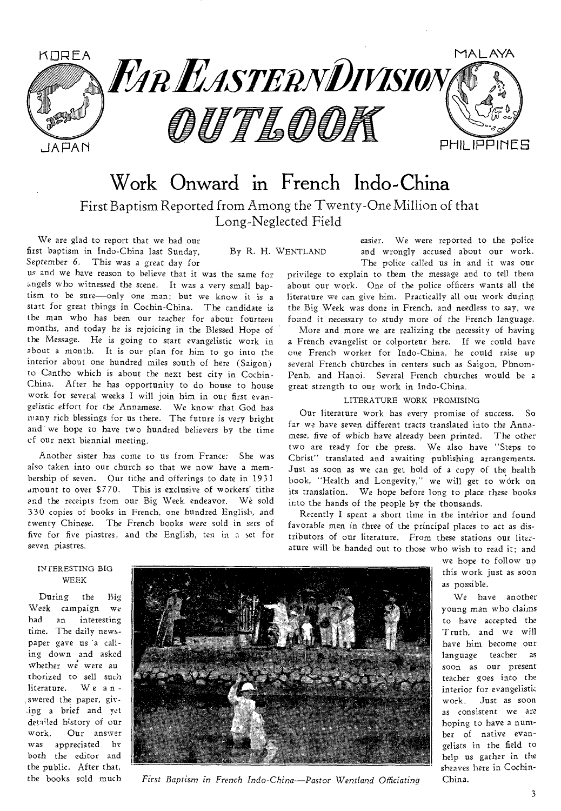

## Work Onward in French Indo-China First Baptism Reported from Among the Twenty-One Million of that Long-Neglected Field

We are glad to report that we had our first baptism in Indo-China last Sunday, September 6. This was a great day for

By R. H. WENTLAND

us and we have reason to believe that it was the same for angels who witnessed the scene. It was a very small baptism to be sure—only one man; but we know it is a start for great things in Cochin-China. The candidate is the man who has been our *teacher* for about fourteen months, and today he is rejoicing in the Blessed Hope of the Message. He is going to start evangelistic work in about a month. It is our plan for him to go into the interior about one hundred miles south of here (Saigon) to Cantho which is about the next best city in Cochin-China. After he has opportunity to do house to house work for several weeks I will join him in our first evangelistic effort for the *Annamese.* We know that God has many rich blessings for us there. The future is very bright and we hope to have two hundred believers by the time cf our next biennial meeting.

Another sister has come to us from France: She was also taken into our church so that we now have a membership of seven. Our tithe and offerings to date in 1931 amount to over \$770. This is exclusive of workers' tithe and the receipts from our Big Week endeavor. We sold 330 copies of books in French, one hundred English, and twenty Chinese. The French books *were* sold in secs of five for five piastres, and the English, ten in a set for seven piastres.

easier. We were reported to the police and wrongly accused about our work.

The police called us in and it was our privilege to explain to them the message and to tell them about our work. One of the police officers wants all the literature we can give him. Practically all our work during the Big Week was done in French, and needless to say, we found it necessary to study *more* of the French language.

More and more we are realizing the necessity of having a French evangelist or colporteur here. If we could have one French worker for Indo-China, he could raise up several French churches in centers such as Saigon, Phnom-Penh, and Hanoi. Several French churches would be a great strength to our work in Indo-China.

## LITERATURE WORK PROMISING

Our literature work has every promise of success. So far we have seven different tracts translated into the Anna*mese, five* of which have already been printed. The other two are ready for the press. We also have "Steps to Christ" translated and awaiting publishing arrangements. Just as soon as we can get hold of a copy of the health book, "Health and Longevity," we will get to work on its translation. We hope before long to *place* these books into the hands of the people by the thousands.

Recently I spent a short time in the interior and found favorable men in three of the principal places to act as distributors of our literature. From these stations our literature will be handed out to those who wish to read it; and

IN TERESTING BIG WEEK

During the Big Week campaign we an interesting time. The daily newspaper gave us 'a calling down and asked whether we were au thorized to sell such literature. We answered the paper, giving a brief and yet detailed history of our work. Our answer was appreciated by both the editor and the public. After that, the books sold much



*First Baptism in French Indo-China--Pastor Wentland Officiating* 

we hope to follow up this work just as soon as possible.

We have another young *man* who claims to have accepted the Truth, and we will have him become our language teacher as soon as our present teacher goes into the interior for evangelistic work. Just as soon as consistent we are hoping to have a number of native evangelists in the field to help us gather in the sheaves here in Cochin-China.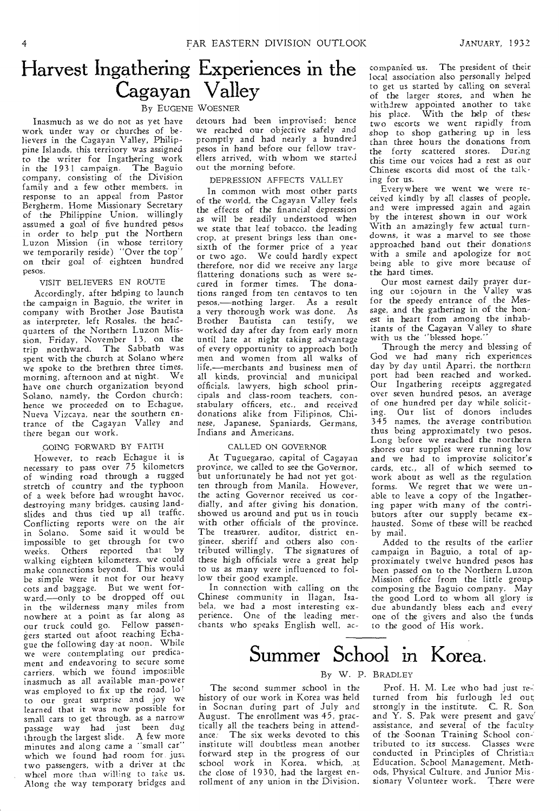## Harvest Ingathering Experiences in the companied us. The president of their Cagayan Valley

## By EUGENE WOESNER

Inasmuch as we do not as yet have work under way or churches of believers in the Cagayan Valley, Philippine Islands, this territory was assigned to the writer for Ingathering work in the 1931 campaign. The Baguio company, consisting of the Division family and a few other members, in response to an appeal from Pastor Bergherm, Home Missionary Secretary of the Philippine Union, willingly assumed a goal of five hundred pesos in order to help put the Northern Luzon Mission (in whose territory we temporarily reside) "Over the top'' on their goal of eighteen hundred pesos.

#### VISIT BELIEVERS EN ROUTE

Accordingly, after helping to launch the campaign in Baguio, the writer in company with Brother Jose Bautista as interpreter, left Rosales, the headquarters of the Northern Luzon Mission, Friday, November 13, on the trip northward. The Sabbath was spent with the church at Solano where we spoke to the brethren three times, morning, afternoon and at night. We have one church organization beyond Solano, namely, the Cordon church; hence we proceeded on to Echague, Nueva Vizcaya, near the southern en-trance of the Cagayan Valley and there began our work.

#### GOING FORWARD BY FAITH

However, to reach Echague it is necessary to pass over 75 kilometers of winding road through a rugged stretch of country and the typhoon of a week before had wrought havoc, destroying many bridges, causing landslides and thus tied up all traffic. Conflicting reports were on the air in Solano. Some said it would be impossible to get through for two weeks. Others reported that by walking eighteen kilometers, we could make connections beyond. This would be simple were it not for our heavy cots and baggage. But we went forward,-only to be dropped off out in the wilderness many miles from nowhere at a point as far along as our truck could go. Fellow passengers started out afoot reaching Echague the following day at noon. While we were contemplating our predicament and endeavoring to secure some carriers, which we found impossible inasmuch as all available man-power was employed to fix up the road, 10' to our great surprise and joy we learned that it was now possible for small cars to get through, as a narrow passage way had just been dug through the largest slide. A few more minutes and along came a ''small car" which we found had room for just two passengers, with a driver at the wheel more than willing to take us. Along the way temporary bridges and

#### detours had been improvised; hence we reached our objective safely and promptly and had nearly a hundred pesos in hand before our fellow travellers arrived, with whom we started out the morning before.

#### DEPRESSION AFFECTS VALLEY

In common with most other parts of the world, the Cagayan Valley feels the effects of the financial depression as will be readily understood when we state that leaf tobacco, the leading crop, at present brings less than one, sixth of the former price of a year or two ago. We could hardly expect therefore, nor did we receive any large flattering donations such as were secured in former times. The donations ranged from ten centavos to ten pesos,—nothing larger. As *a* result a very thorough work was done. As Brother Bautista can testify, we worked day after day from early morn until late at night taking advantage of every opportunity to approach both men and women from all walks of life,—merchants and business men of all kinds, provincial and municipal officials, lawyers, high school principals and class-room teachers, constabulary officers, etc., and received donations alike from Filipinos, Chinese, Japanese, Spaniards, Germans, Indians and Americans.

### CALLED ON GOVERNOR

At Tuguegarao, capital of Cagayan province, we called to see the Governor, but unfortunately he had not yet gotten through from Manila. However, the acting Governor received us cordially, and after giving his donation, showed us around and put us in touch with other officials of the province. The treasurer, auditor, district engineer, sheriff and others also contributed willingly. The signatures of these high officials were a great help to us as many were influenced to follow their good example.

In connection with calling on the Chinese community in Ilagan, Isabela, we had *a* most interesting experience. One of the leading merchants who speaks English well, aclocal association also personally helped to get us started by calling on several of the larger stores, and when he withdrew appointed another to take his place. With the help of these two escorts we went rapidly from shop to shop gathering up in less than three hours the donations from the forty scattered stores. During this time our voices had a rest as our Chinese escorts did most of the talking for us.

Everywhere we went we were received kindly by all classes of people, and were impressed again and again by the interest shown in our work With an amazingly few actual turndowns, it was a marvel to see those approached hand out their donations with a smile and apologize for not being able to give more because of the hard times.

Our most earnest daily prayer dur-<br>ing our cojourn in the Valley was for the speedy entrance of the Message, and the gathering in of the honest in heart from among the inhabitants of the Cagayan Valley to share<br>with us the "blessed hope."

Through the mercy and blessing of God we had many rich experiences day by day until Aparri, the northern port had been reached and worked. Our Ingathering receipts aggregated over seven hundred pesos, an average of one hundred per day while soliciting. Our list of donors includes 345 names, the average contribution thus being approximately two pesos. Long before we reached the northern shores our supplies were running low and we had to improvise solicitor's cards, etc., all of which seemed to work about as well as the regulation forms. We regret that we were unable to leave a copy of the Ingathering paper with many of the contributors after our supply became exhausted. Some of these will be reached by mail.

Added to the results of the earlier campaign in Baguio, a total of approximately twelve hundred pesos has been passed on to the Northern Luzon Mission office from the little group composing the Baguio company. May the good Lord to whom all glory is due abundantly bless each and every one of the givers and also the funds to the good of His work.

# Summer School in Korea.

## By W. P. BRADLEY

The second summer school in the history of our work in Korea was held in Socnan during part of July and August. The enrollment was 45, practically all the teachers being in attend-<br>ance: The six weeks devoted to this The six weeks devoted to this institute will doubtless mean another forward step in the progress of our school work in Korea, which, at the close of 1930, had the largest enrollment of any union in the Division.

Prof. H. M. Lee who had just returned from his furlough led out strongly in the institute. C. R. Son and  $\overline{Y}$ . S. Pak were present and gave' assistance, and several of the faculty. of the Soonan Training School contributed to its success. Classes were conducted in Principles of Christian: Education, School Management, Methods, Physical Culture, and Junior Mis• sionary Volunteer work. There were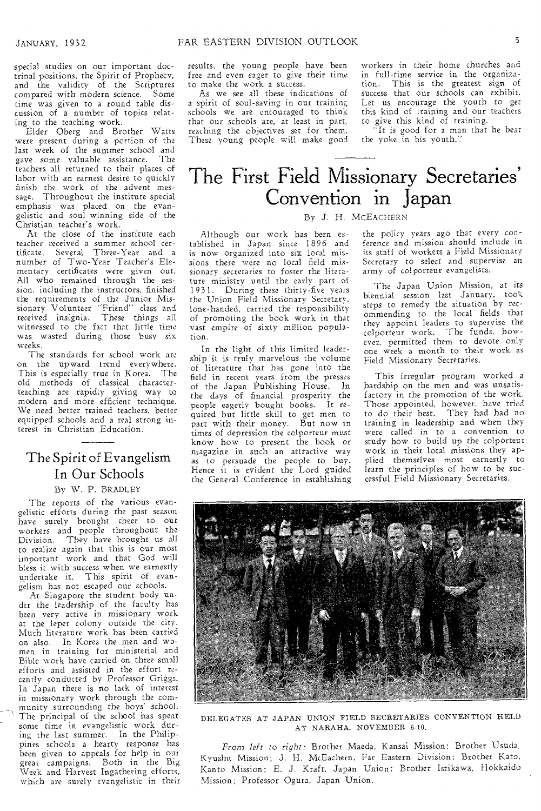special studies on our important doctrinal positions, the Spirit of Prophecy, and the validity of the Scriptures compared with modern science. **time was** given to a round **table discussion of a** number of **topics relating** to the teaching work.

Elder Oberg and Brother **Watts**  were present during a portion of **the**  last week of the summer school and **gave** some valuable assistance. The **teachers** all returned to **their places of**  labor with an earnest desire **to quickly**  finish the work of **the advent message.** Throughout the **institute special**  emphasis was placed on the **evan-gelistic** and soul-winning side of **the**  Christian teacher's work.

At the **close** of the institute **each teacher received** a summer school **certificate. Several** Three-Year **and a number of** Two-Year **Teacher's** Ele**mentary** certificates **were given out.**  All who remained through the session, including the instructors, finished **the** requirements of the Junior Missionary Volunteer "Friend" class and **received** insignia. These **things all witnessed** to **the** fact that **little time was wasted during those busy six weeks.** 

The standards for school **work are**  on the upward trend **everywhere.**  This is especially true in **Korea. The**  old methods of classical characterteaching are rapidly giving way **to modern** and more **efficient** technique. We need better **trained** teachers, better equipped schools and a real strong interest in Christian Education.

## The Spirit of Evangelism In Our Schools

## By W. P. BRADLEY

The reports of the various **evangelistic** efforts during the **past season have** surely brought cheer to **our workers** and people throughout the **Division.** They have brought us all **to realize** again that this is our **most important** work and that **God will bless it** with success when **we earnestly undertake** it. This spirit **of evangelism has not** escaped our schools.

At Singapore the student body under the **leadership** of the faculty **has**  been **very active** in missionary **work at the leper colony** outside **the city. Much literature work** has been **carried on also. In Korea the men and women in training for ministerial** and **Bible work have** carried on three small efforts and assisted in the effort recently conducted by Professor **Griggs.**  In Japan **there is** no lack of **interest**  in missionary work through the **community surrounding** the boys' **school. The principal** of **the** school **has** spent **some time in** evangelistic **work during the** last summer. In the Philippines **schools** a hearty response **has been given to** appeals for help in **our great** campaigns. Both in the **Big Week** and **Harvest Ingathering efforts, which** are **surely evangelistic in their** 

results, **the young** people **have been free and even eager to** give **their time to make the work a success.** 

**As we see all these indications of a spirit of soul-saving in our training schools we are encouraged to think that our schools are, at least in part, reaching the objectives set for them. These young people will make good** 

workers in their home churches **and**  in full-time service in the **organization.** This is **the greatest sign of**  success that **our schools can exhibit. Let us encourage the youth to get this kind of training and our teachers to give this kind of** training.

**"It is good for a man that he bear the yoke in** his **youth..'** 

## The First Field Missionary Secretaries' Convention in Japan

#### By J. H. MCEACHERN

Although our **work has been established in Japan since 1896 and is now organized into six local missions there were no local field missionary secretaries to foster the literature ministry until the early part of**  1931. **During these thirty-five years**  the Union **Field Missionary Secretary,**  lone-handed, **carried the responsibility**  of **promoting the book work** in **that**  vast empire **of sixty million** population.

In the light of this limited leadership it is truly marvelous the volume of literature that has gone into the field in recent years from the presses of the Japan Publishing House. In the days of financial prosperity the people eagerly bought books. It required but little skill to get men to part with their money. But now in times of depression the colporteur must know how to present the book or magazine in such an attractive way as to persuade the people to buy. Hence it is evident the Lord guided the General Conference in establishing

**the policy years ago that every conference and mission should include in its staff of workers** a Field **Missionary Secretary to select and supervise an army of colporteur evangelists.** 

**The Japan** Union **Mission, at its**  biennial **session** last January, **took**  steps to **remedy** the situation **by recommending to** the local **fields that they appoint** leaders to **supervise the colporteur work.** The **funds, however, permitted** them to **devote only one week** a month to **their work** as Field Missionary **Secretaries.** 

This irregular program **worked a**  hardship on the men and was **unsatisfactory** in the promotion of the work. Those appointed, however, have **tried**  to do their best. They had had **no**  training in leadership and when they were called in to a convention **to**  study how to build up the colporteur work in their local missions they **applied** themselves most earnestly to learn the principles of how to be successful Field Missionary **Secretaries.** 



DELEGATES AT JAPAN UNION FIELD SECRETARIES CONVENTION HELD AT NARAHA, NOVEMBER 6-10.

**From** *left to right:* Brother Maeda, Kansai Mission; Brother **Usuda, Kyushu Mission; J. H.** McEachern, Far Eastern Division; **Brother Kato, Kanto Mission; E.** J. Kraft, Japan Union; Brother Isrikawa, **Hokkaido**  Mission; **Professor** Ogura, Japan Union.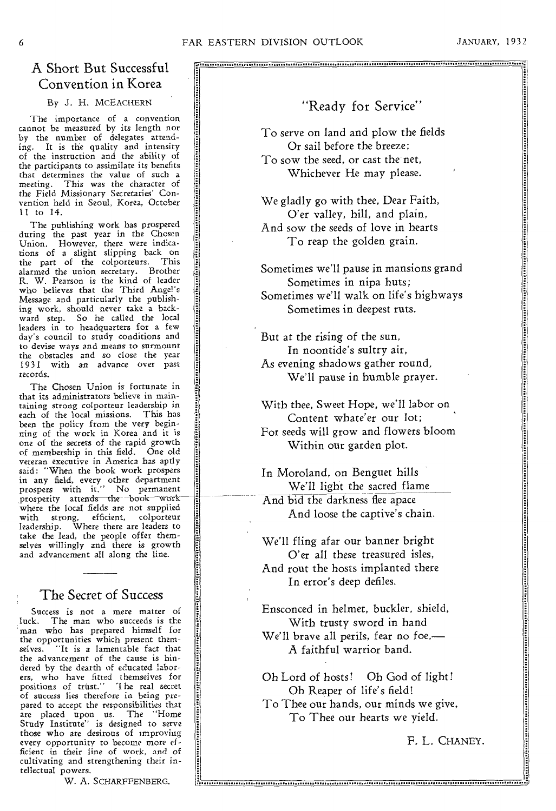## A Short But Successful Convention in Korea

By J. H. MCEACHERN

The importance of a convention cannot be measured by its length nor by the number of delegates attending. It is the quality and intensity of the instruction and the ability of the participants to assimilate its benefits that determines the value of such a meeting. This was the character of the Field Missionary Secretaries' Convention held in Seoul, Korea, October 11 to 14.

The publishing work has prospered during the past year in the Chosen Union. However, there were indica-tions of a slight slipping back on the part of the colporteurs. This alarmed the union secretary. Brother R. W. Pearson is the kind of leader who believes that the Third Angel's Message and particularly the publish-ing work, should never take a backward step. So he called the local leaders in to headquarters for a few day's council to study conditions and to devise ways and means to surmount the obstacles and so close the year 1931 with an advance over past records.

The Chosen Union is fortunate in that its administrators believe in maintaining strong colporteur leadership in each of the local missions. This has been the policy from the very begin-ning of the work in Korea and it is one of the secrets of the rapid growth of membership in this field. One old veteran executive in America has aptly said: "When the book work prospers in any field, every other department<br>prospers with it." No permanent<br>prosperity attends the book work<br>where the local fields are not supplied with strong, efficient, colporteur leadership. Where there are leaders to take the lead, the people offer themselves willingly and there is growth and advancement all along the line.

## The Secret of Success

Success is not a mere matter of luck. The man who succeeds is the man who has prepared himself for the opportunities which present them-<br>selves. "It is a lamentable fact that "It is a lamentable fact that the advancement of the cause is hindered by the dearth of educated laborers, who have fitted themselves for positions of trust." 'I he real secret of success lies therefore in being prepared to accept the responsibilities that are placed upon us. The "Home Study Institute" is designed to serve those who are desirous of Improving every opportunity to become more efficient in their line of work, and of cultivating and strengthening their intellectual powers.

W. A. SCHARFFENBERG.

## "Ready for Service"

<u>maananan maraan manaan maanaan maanaan maanaan aan maanaan maanaan ma</u>

To serve on land and plow the fields Or sail before the breeze; To sow the seed, or cast the net, Whichever He may please.

We gladly go with thee, Dear Faith, O'er valley, hill, and plain, And sow the seeds of love in hearts To reap the golden grain.

Sometimes we'll pause in mansions grand Sometimes in nipa huts; Sometimes we'll walk on life's highways Sometimes in deepest ruts.

But at the rising of the sun, In noontide's sultry air, As evening shadows gather round, We'll pause in humble prayer.

With thee, Sweet Hope, we'll labor on Content whate'er our lot; For seeds will grow and flowers bloom Within our garden plot.

In Moroland, on Benguet hills We'll light the sacred flame And bid the darkness flee apace And loose the captive's chain.

We'll fling afar our banner bright O'er all these treasured isles, And rout the hosts implanted there In error's deep defiles.

Ensconced in helmet, buckler, shield, With trusty sword in hand We'll brave all perils, fear no foe,— A faithful warrior band.

Oh Lord of hosts! Oh God of light! Oh Reaper of life's field?

To Thee our hands, our minds we give, To Thee our hearts we yield.

F. L. CHANEY.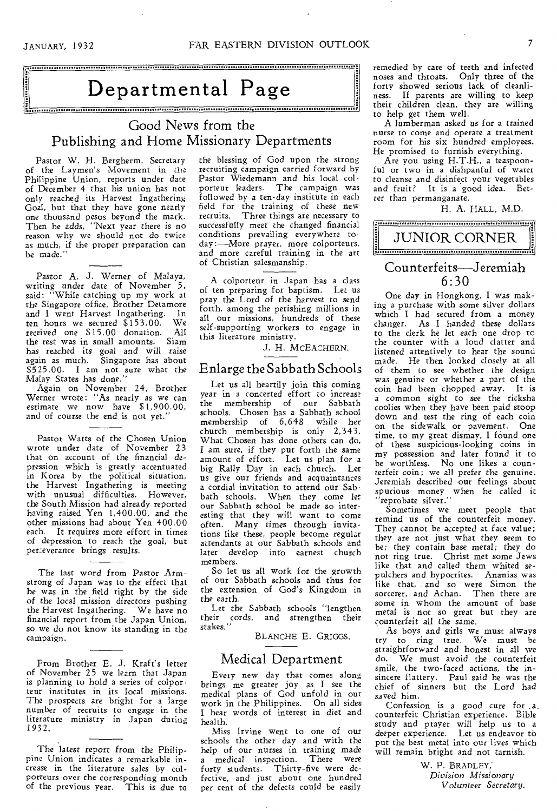# Departmental Page Departmental Page

# Publishing and Home Missionary Departments

Pastor W. H. Bergherm, Secretary of the Laymen's Movement in the Philippine Union, reports under date of December 4 that his union has not only reached its Harvest Ingathering Goal, but that they have gone nearly one thousand pesos beyond the mark. Then he adds, "Next year *there* is no reason why we should not do twice as much, if the proper preparation can be made."

Pastor A. J. Werner of Malaya, writing under date of November 5, said: "While catching up my work at the Singapore office, Brother Detamore<br>and I went Harvest Ingathering. In and I went Harvest Ingathering. In<br>ten hours we secured \$153.00. We ten hours we secured  $\overline{\$153.00}$ . received one \$15.00 donation. All the rest was in small amounts. Siam has *reached* its goal *and* will raise again as much. Singapore has about \$525.00. I am not sure what the Malay States has done."

Again on November 24, Brother Werner wrote: "As nearly as we can estimate we now have \$1,900.00, and of course the end is not yet."

Pastor Watts of the Chosen Union wrote under date of November 23 that on account of the financial depression which is greatly accentuated *in* Korea by the political situation, the Harvest Ingathering is meeting with unusual difficulties. However, the South Mission had already reported having raised Yen 1,400.00, and the other missions had about Yen 400.00 each. It requires more effort in times of depression to reach the goal, but *perseverance* brings results.

The last word from Pastor Armstrong of Japan was to the effect that he was in the field right by the side of the local mission directors pushing the Harvest Ingathering. We have no financial report from the Japan Union, so we do not know its standing in the campaign.

From Brother E. J. Kraft's letter of November 25 we learn that Japan is planning to hold a series of colpor-teur institutes in its local missions. The prospects *are* bright for a large number of recruits to engage in the literature ministry in Japan during 1932.

The latest report from the Philippine Union indicates a remarkable increase in the literature sales by colporteurs over the corresponding month of the previous year. This is due to the blessing of God upon the strong recruiting campaign carried forward by Pastor Wiedemann and his local colporteur leaders. The campaign was followed by a ten-day institute in each field for the training of these new recruits. Three things are necessary to *successfully* meet the changed financial conditions prevailing everywhere today:—More prayer, more colporteurs, and more careful training in the art of Christian salesmanship.

A colporteur in Japan has a class of ten preparing for baptism. Let us pray the Lord of the harvest to send forth, among the perishing millions in all our missions, hundreds of these self-supporting workers to engage in this literature ministry.

J. H. MCEACHERN.

## Enlarge the Sabbath Schools

Let us all heartily join this coming year in a concerted effort to increase the membership of our Sabbath schools. Chosen has a Sabbath school membership of 6,648 while her church membership is only 2,343. What Chosen has done others can do, I *am* sure, if they put forth the same amount of effort. Let us plan for a big Rally Day in each church. Let us give our friends and acquaintances a cordial invitation to attend our Sabbath schools. When they come let our Sabbath school be made so interesting that they will want to come often. Many times through invitations like these, people become regular attendants at our Sabbath schools and later develop into earnest church members.

So let us all work for the growth of our Sabbath schools and thus for the extension of God's Kingdom in the *earth.* 

Let the Sabbath schools "lengthen their cords, and strengthen their stakes."

BLANCHE E. GRIGGS.

## Medical Department

Every new day that comes along brings me greater joy as I see the medical plans of God unfold in our work in the Philippines. On all sides I hear words of interest in diet and health.

Miss Irvine went to one of our schools the other day and with the help of our nurses in training made a medical inspection. There were forty students. Thirty-five were defective, and just about one hundred per cent of the defects could be easily

remedied by care of teeth and infected noses and throats. Only three of the forty showed serious lack of cleanliness. If parents are willing to keep their children clean, they are willing, to help get them well.

A lumberman asked us for a trained nurse to come and operate a treatment room for his six hundred employees. He promised to furnish everything.

Are you using H.T.H., a teaspoonful or two in a dishpanful of water to cleanse and disinfect your vegetables and fruit? It is a good idea. Better than permanganate.

H. A. HALL, M.D.



## Counterfeits—Jeremiah 6:30

One day in Hongkong, I was making a purchase with some silver dollars which I had secured from a money changer. As I handed these dollars to the clerk he let each one drop to the counter with a loud clatter and listened attentively to hear the sound made. He then looked closely at all of them to see whether the design was genuine or whether a part of the coin had been chopped away. It is *<sup>a</sup>*common sight to see the ricksha coolies when they have been paid stoop down and test the ring of each coin on the sidewalk or pavement. One time, to my great dismay, I found one of these suspicious-looking coins in my possession and later found it to be worthless. No one likes a counterfeit *coin; we* all prefer the genuine. Jeremiah described our feelings about spurious money when he called it "reprobate silver."

Sometimes we meet people that remind us of the counterfeit money. They cannot be accepted at face value; they are not just what they seem to be; they contain base metal; they do not ring true. Christ met some Jews like that and called them whited sepulchers and hypocrites. Ananias was like that, and so were Simon the sorcerer, and Achan. Then there are some in whom the amount of base metal is not so great but they are counterfeit all the same.

As boys and girls we must always try to ring true. We must be straightforward and honest in all we do. We must avoid the counterfeit smile, the two-faced actions, the insincere flattery. Paul said he was the chief of sinners but the Lord had *saved* him.

Confession is a good cure for a\_ counterfeit Christian experience. Bible study and prayer will help us to a deeper experience. Let us endeavor to put the best metal into our lives which will remain bright and not tarnish.

> W. P. BRADLEY; *Division Missionary Volunteer Secretary.*